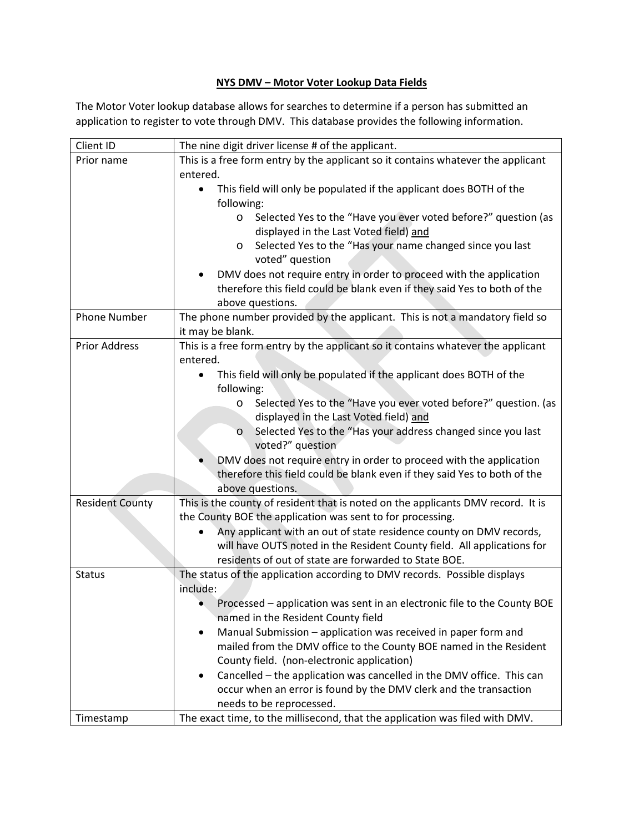## **NYS DMV – Motor Voter Lookup Data Fields**

The Motor Voter lookup database allows for searches to determine if a person has submitted an application to register to vote through DMV. This database provides the following information.

| Client ID              | The nine digit driver license # of the applicant.                                |
|------------------------|----------------------------------------------------------------------------------|
| Prior name             | This is a free form entry by the applicant so it contains whatever the applicant |
|                        | entered.                                                                         |
|                        | This field will only be populated if the applicant does BOTH of the              |
|                        | following:                                                                       |
|                        | Selected Yes to the "Have you ever voted before?" question (as<br>$\circ$        |
|                        | displayed in the Last Voted field) and                                           |
|                        | Selected Yes to the "Has your name changed since you last<br>O                   |
|                        | voted" question                                                                  |
|                        | DMV does not require entry in order to proceed with the application              |
|                        | therefore this field could be blank even if they said Yes to both of the         |
|                        | above questions.                                                                 |
| <b>Phone Number</b>    | The phone number provided by the applicant. This is not a mandatory field so     |
|                        | it may be blank.                                                                 |
| <b>Prior Address</b>   | This is a free form entry by the applicant so it contains whatever the applicant |
|                        | entered.                                                                         |
|                        | This field will only be populated if the applicant does BOTH of the<br>$\bullet$ |
|                        | following:                                                                       |
|                        | Selected Yes to the "Have you ever voted before?" question. (as<br>$\circ$       |
|                        | displayed in the Last Voted field) and                                           |
|                        | Selected Yes to the "Has your address changed since you last<br>$\circ$          |
|                        | voted?" question                                                                 |
|                        | DMV does not require entry in order to proceed with the application              |
|                        | therefore this field could be blank even if they said Yes to both of the         |
|                        | above questions.                                                                 |
| <b>Resident County</b> | This is the county of resident that is noted on the applicants DMV record. It is |
|                        | the County BOE the application was sent to for processing.                       |
|                        | Any applicant with an out of state residence county on DMV records,              |
|                        | will have OUTS noted in the Resident County field. All applications for          |
|                        | residents of out of state are forwarded to State BOE.                            |
| <b>Status</b>          | The status of the application according to DMV records. Possible displays        |
|                        | include:                                                                         |
|                        | Processed - application was sent in an electronic file to the County BOE         |
|                        | named in the Resident County field                                               |
|                        | Manual Submission - application was received in paper form and<br>٠              |
|                        | mailed from the DMV office to the County BOE named in the Resident               |
|                        | County field. (non-electronic application)                                       |
|                        | Cancelled - the application was cancelled in the DMV office. This can<br>٠       |
|                        | occur when an error is found by the DMV clerk and the transaction                |
|                        | needs to be reprocessed.                                                         |
| Timestamp              | The exact time, to the millisecond, that the application was filed with DMV.     |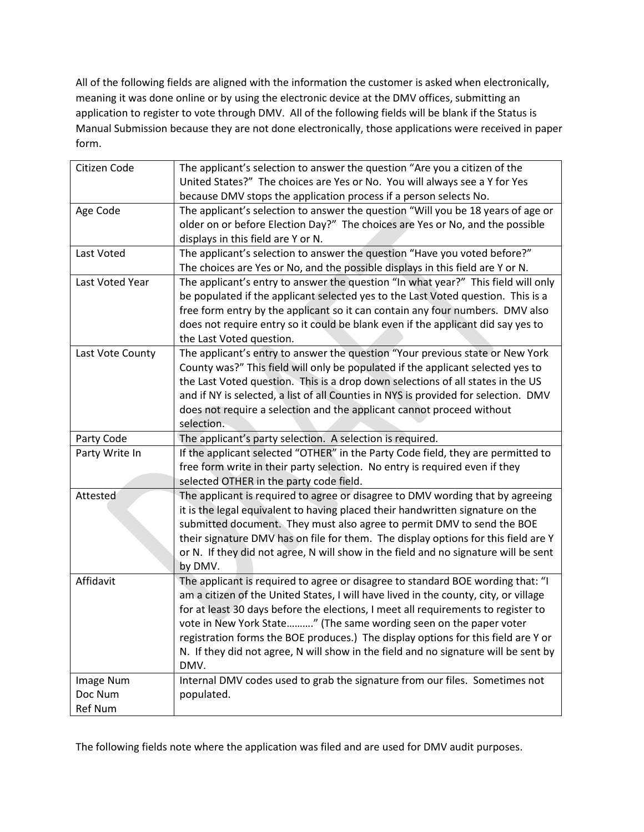All of the following fields are aligned with the information the customer is asked when electronically, meaning it was done online or by using the electronic device at the DMV offices, submitting an application to register to vote through DMV. All of the following fields will be blank if the Status is Manual Submission because they are not done electronically, those applications were received in paper form.

| Citizen Code     | The applicant's selection to answer the question "Are you a citizen of the           |
|------------------|--------------------------------------------------------------------------------------|
|                  | United States?" The choices are Yes or No. You will always see a Y for Yes           |
|                  | because DMV stops the application process if a person selects No.                    |
| Age Code         | The applicant's selection to answer the question "Will you be 18 years of age or     |
|                  | older on or before Election Day?" The choices are Yes or No, and the possible        |
|                  | displays in this field are Y or N.                                                   |
| Last Voted       | The applicant's selection to answer the question "Have you voted before?"            |
|                  | The choices are Yes or No, and the possible displays in this field are Y or N.       |
| Last Voted Year  | The applicant's entry to answer the question "In what year?" This field will only    |
|                  | be populated if the applicant selected yes to the Last Voted question. This is a     |
|                  | free form entry by the applicant so it can contain any four numbers. DMV also        |
|                  | does not require entry so it could be blank even if the applicant did say yes to     |
|                  | the Last Voted question.                                                             |
| Last Vote County | The applicant's entry to answer the question "Your previous state or New York        |
|                  | County was?" This field will only be populated if the applicant selected yes to      |
|                  | the Last Voted question. This is a drop down selections of all states in the US      |
|                  | and if NY is selected, a list of all Counties in NYS is provided for selection. DMV  |
|                  | does not require a selection and the applicant cannot proceed without                |
|                  | selection.                                                                           |
| Party Code       | The applicant's party selection. A selection is required.                            |
| Party Write In   | If the applicant selected "OTHER" in the Party Code field, they are permitted to     |
|                  | free form write in their party selection. No entry is required even if they          |
|                  | selected OTHER in the party code field.                                              |
| Attested         | The applicant is required to agree or disagree to DMV wording that by agreeing       |
|                  | it is the legal equivalent to having placed their handwritten signature on the       |
|                  | submitted document. They must also agree to permit DMV to send the BOE               |
|                  | their signature DMV has on file for them. The display options for this field are Y   |
|                  | or N. If they did not agree, N will show in the field and no signature will be sent  |
|                  | by DMV.                                                                              |
| Affidavit        | The applicant is required to agree or disagree to standard BOE wording that: "I      |
|                  | am a citizen of the United States, I will have lived in the county, city, or village |
|                  | for at least 30 days before the elections, I meet all requirements to register to    |
|                  | vote in New York State" (The same wording seen on the paper voter                    |
|                  | registration forms the BOE produces.) The display options for this field are Y or    |
|                  | N. If they did not agree, N will show in the field and no signature will be sent by  |
|                  | DMV.                                                                                 |
| Image Num        | Internal DMV codes used to grab the signature from our files. Sometimes not          |
| Doc Num          | populated.                                                                           |
| <b>Ref Num</b>   |                                                                                      |

The following fields note where the application was filed and are used for DMV audit purposes.